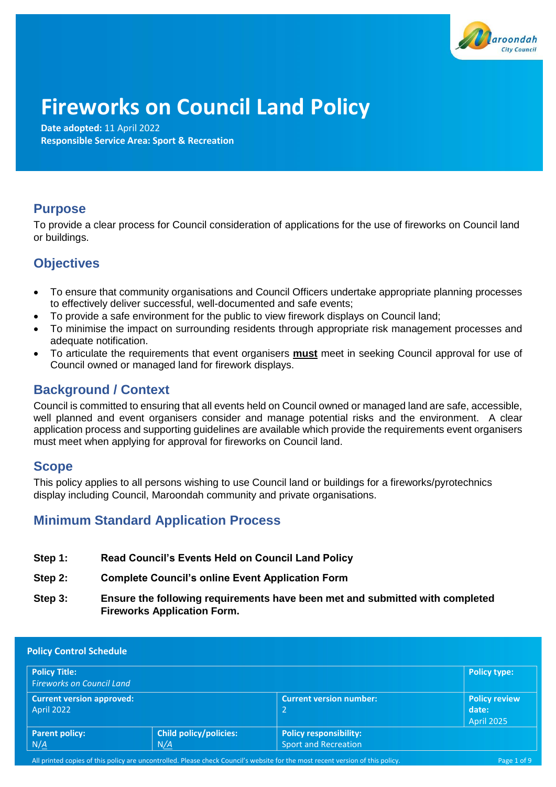

# **Fireworks on Council Land Policy**

**Date adopted:** 11 April 2022 **Responsible Service Area: Sport & Recreation** 

# **Purpose**

To provide a clear process for Council consideration of applications for the use of fireworks on Council land or buildings.

# **Objectives**

- To ensure that community organisations and Council Officers undertake appropriate planning processes to effectively deliver successful, well-documented and safe events;
- To provide a safe environment for the public to view firework displays on Council land;
- To minimise the impact on surrounding residents through appropriate risk management processes and adequate notification.
- To articulate the requirements that event organisers **must** meet in seeking Council approval for use of Council owned or managed land for firework displays.

# **Background / Context**

Council is committed to ensuring that all events held on Council owned or managed land are safe, accessible, well planned and event organisers consider and manage potential risks and the environment. A clear application process and supporting guidelines are available which provide the requirements event organisers must meet when applying for approval for fireworks on Council land.

## **Scope**

This policy applies to all persons wishing to use Council land or buildings for a fireworks/pyrotechnics display including Council, Maroondah community and private organisations.

# **Minimum Standard Application Process**

- **Step 1: Read Council's Events Held on Council Land Policy**
- **Step 2: Complete Council's online Event Application Form**
- **Step 3: Ensure the following requirements have been met and submitted with completed Fireworks Application Form.**

| <b>Policy Control Schedule</b>                           |                                      |                                                              |                                             |  |  |
|----------------------------------------------------------|--------------------------------------|--------------------------------------------------------------|---------------------------------------------|--|--|
| <b>Policy Title:</b><br><b>Fireworks on Council Land</b> |                                      |                                                              | <b>Policy type:</b>                         |  |  |
| <b>Current version approved:</b><br>April 2022           |                                      | <b>Current version number:</b><br>2                          | Policy review<br>date:<br><b>April 2025</b> |  |  |
| <b>Parent policy:</b><br>$N/\underline{A}$               | <b>Child policy/policies:</b><br>N/A | <b>Policy responsibility:</b><br><b>Sport and Recreation</b> |                                             |  |  |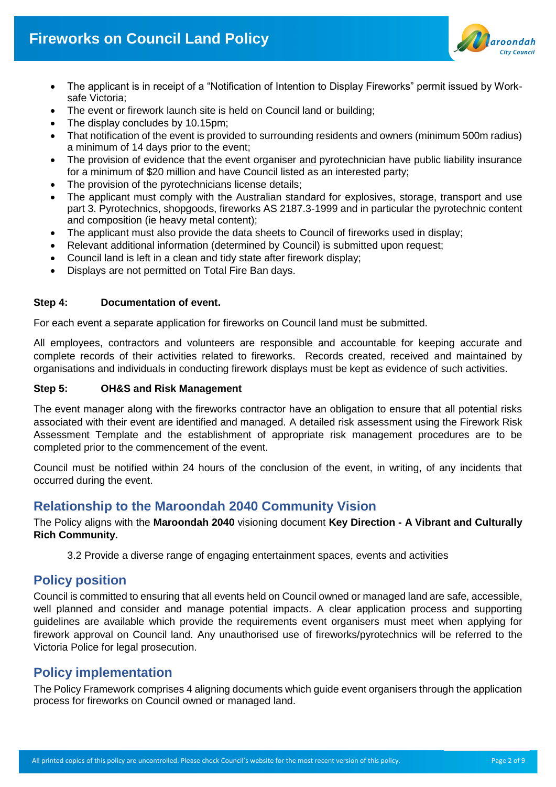

- The applicant is in receipt of a "Notification of Intention to Display Fireworks" permit issued by Worksafe Victoria;
- The event or firework launch site is held on Council land or building;
- The display concludes by 10.15pm;
- That notification of the event is provided to surrounding residents and owners (minimum 500m radius) a minimum of 14 days prior to the event;
- The provision of evidence that the event organiser and pyrotechnician have public liability insurance for a minimum of \$20 million and have Council listed as an interested party;
- The provision of the pyrotechnicians license details;
- The applicant must comply with the Australian standard for explosives, storage, transport and use part 3. Pyrotechnics, shopgoods, fireworks AS 2187.3-1999 and in particular the pyrotechnic content and composition (ie heavy metal content);
- The applicant must also provide the data sheets to Council of fireworks used in display;
- Relevant additional information (determined by Council) is submitted upon request;
- Council land is left in a clean and tidy state after firework display;
- Displays are not permitted on Total Fire Ban days.

#### **Step 4: Documentation of event.**

For each event a separate application for fireworks on Council land must be submitted.

All employees, contractors and volunteers are responsible and accountable for keeping accurate and complete records of their activities related to fireworks. Records created, received and maintained by organisations and individuals in conducting firework displays must be kept as evidence of such activities.

#### **Step 5: OH&S and Risk Management**

The event manager along with the fireworks contractor have an obligation to ensure that all potential risks associated with their event are identified and managed. A detailed risk assessment using the Firework Risk Assessment Template and the establishment of appropriate risk management procedures are to be completed prior to the commencement of the event.

Council must be notified within 24 hours of the conclusion of the event, in writing, of any incidents that occurred during the event.

## **Relationship to the Maroondah 2040 Community Vision**

The Policy aligns with the **Maroondah 2040** visioning document **Key Direction - A Vibrant and Culturally Rich Community.**

3.2 Provide a diverse range of engaging entertainment spaces, events and activities

## **Policy position**

Council is committed to ensuring that all events held on Council owned or managed land are safe, accessible, well planned and consider and manage potential impacts. A clear application process and supporting guidelines are available which provide the requirements event organisers must meet when applying for firework approval on Council land. Any unauthorised use of fireworks/pyrotechnics will be referred to the Victoria Police for legal prosecution.

## **Policy implementation**

The Policy Framework comprises 4 aligning documents which guide event organisers through the application process for fireworks on Council owned or managed land.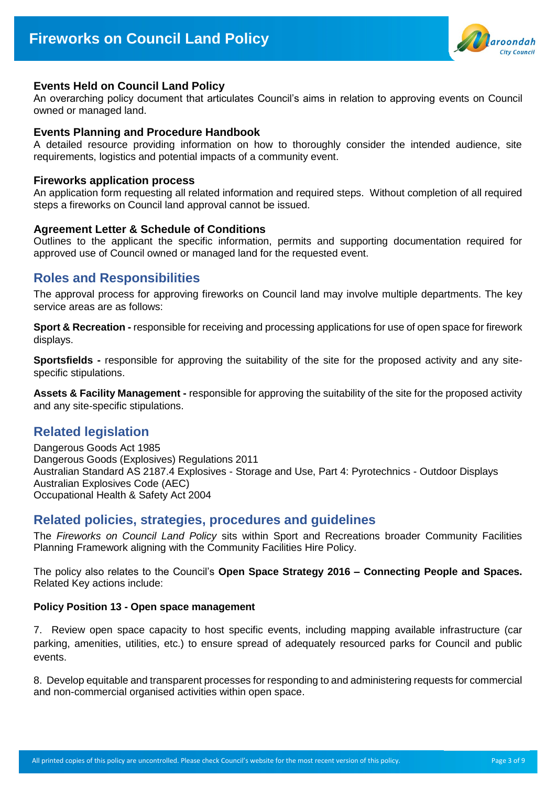

#### **Events Held on Council Land Policy**

An overarching policy document that articulates Council's aims in relation to approving events on Council owned or managed land.

#### **Events Planning and Procedure Handbook**

A detailed resource providing information on how to thoroughly consider the intended audience, site requirements, logistics and potential impacts of a community event.

#### **Fireworks application process**

An application form requesting all related information and required steps. Without completion of all required steps a fireworks on Council land approval cannot be issued.

#### **Agreement Letter & Schedule of Conditions**

Outlines to the applicant the specific information, permits and supporting documentation required for approved use of Council owned or managed land for the requested event.

### **Roles and Responsibilities**

The approval process for approving fireworks on Council land may involve multiple departments. The key service areas are as follows:

**Sport & Recreation -** responsible for receiving and processing applications for use of open space for firework displays.

**Sportsfields -** responsible for approving the suitability of the site for the proposed activity and any sitespecific stipulations.

**Assets & Facility Management -** responsible for approving the suitability of the site for the proposed activity and any site-specific stipulations.

## **Related legislation**

Dangerous Goods Act 1985 Dangerous Goods (Explosives) Regulations 2011 Australian Standard AS 2187.4 Explosives - Storage and Use, Part 4: Pyrotechnics - Outdoor Displays Australian Explosives Code (AEC) Occupational Health & Safety Act 2004

### **Related policies, strategies, procedures and guidelines**

The *Fireworks on Council Land Policy* sits within Sport and Recreations broader Community Facilities Planning Framework aligning with the Community Facilities Hire Policy.

The policy also relates to the Council's **Open Space Strategy 2016 – Connecting People and Spaces.** Related Key actions include:

#### **Policy Position 13 - Open space management**

7. Review open space capacity to host specific events, including mapping available infrastructure (car parking, amenities, utilities, etc.) to ensure spread of adequately resourced parks for Council and public events.

8. Develop equitable and transparent processes for responding to and administering requests for commercial and non-commercial organised activities within open space.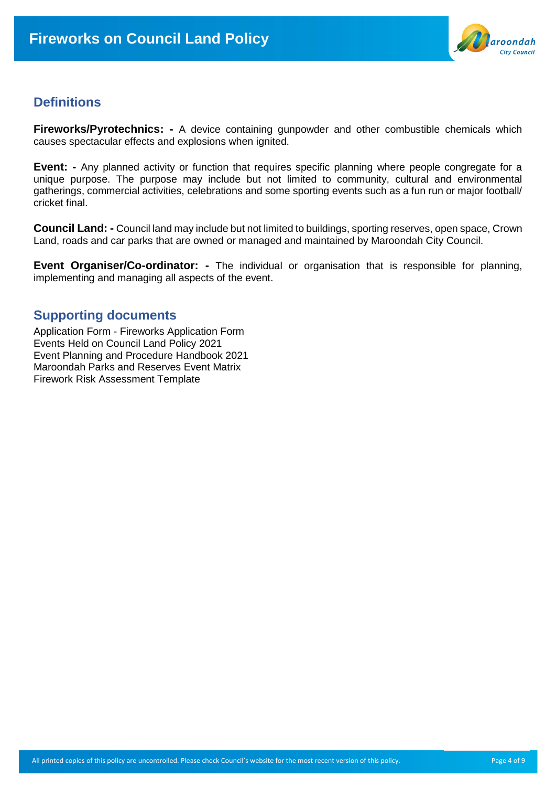

## **Definitions**

**Fireworks/Pyrotechnics: -** A device containing gunpowder and other combustible chemicals which causes spectacular effects and explosions when ignited.

**Event:** - Any planned activity or function that requires specific planning where people congregate for a unique purpose. The purpose may include but not limited to community, cultural and environmental gatherings, commercial activities, celebrations and some sporting events such as a fun run or major football/ cricket final.

**Council Land: -** Council land may include but not limited to buildings, sporting reserves, open space, Crown Land, roads and car parks that are owned or managed and maintained by Maroondah City Council.

**Event Organiser/Co-ordinator: -** The individual or organisation that is responsible for planning, implementing and managing all aspects of the event.

## **Supporting documents**

Application Form - Fireworks Application Form Events Held on Council Land Policy 2021 Event Planning and Procedure Handbook 2021 Maroondah Parks and Reserves Event Matrix Firework Risk Assessment Template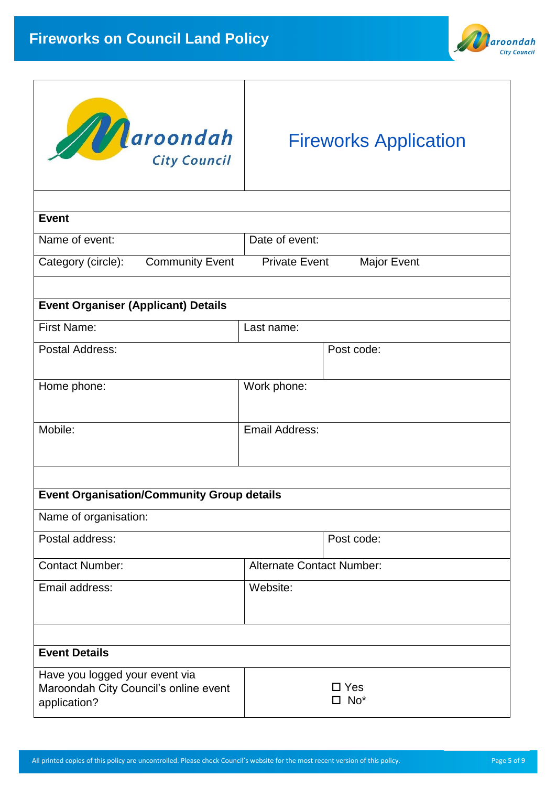



# Fireworks Application

| <b>Event</b>                                          |                                            |  |  |  |
|-------------------------------------------------------|--------------------------------------------|--|--|--|
| Name of event:                                        | Date of event:                             |  |  |  |
| <b>Community Event</b><br>Category (circle):          | <b>Private Event</b><br><b>Major Event</b> |  |  |  |
|                                                       |                                            |  |  |  |
| <b>Event Organiser (Applicant) Details</b>            |                                            |  |  |  |
| <b>First Name:</b>                                    | Last name:                                 |  |  |  |
| Postal Address:                                       | Post code:                                 |  |  |  |
|                                                       |                                            |  |  |  |
| Home phone:                                           | Work phone:                                |  |  |  |
|                                                       |                                            |  |  |  |
| Mobile:                                               | <b>Email Address:</b>                      |  |  |  |
|                                                       |                                            |  |  |  |
|                                                       |                                            |  |  |  |
| <b>Event Organisation/Community Group details</b>     |                                            |  |  |  |
| Name of organisation:                                 |                                            |  |  |  |
| Postal address:                                       | Post code:                                 |  |  |  |
| <b>Contact Number:</b>                                | <b>Alternate Contact Number:</b>           |  |  |  |
| Email address:                                        | Website:                                   |  |  |  |
|                                                       |                                            |  |  |  |
|                                                       |                                            |  |  |  |
| <b>Event Details</b>                                  |                                            |  |  |  |
| Have you logged your event via                        |                                            |  |  |  |
| Maroondah City Council's online event<br>application? | $\square$ Yes<br>$\square$ No*             |  |  |  |
|                                                       |                                            |  |  |  |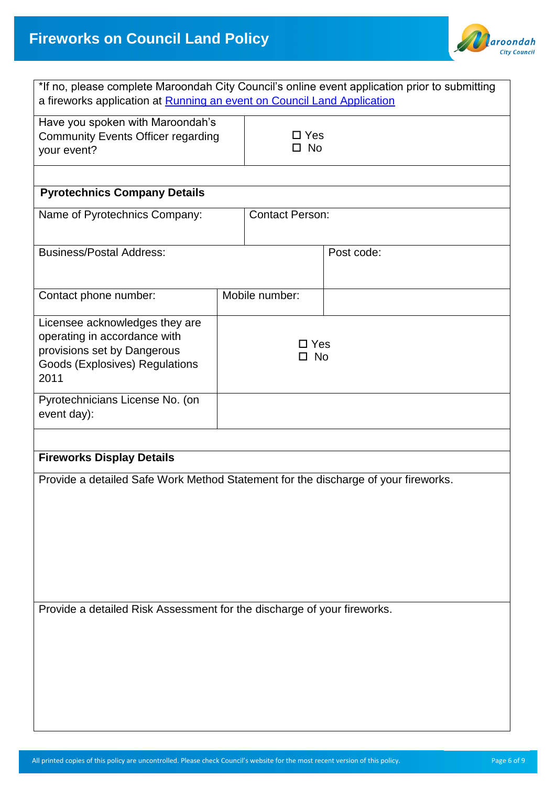

| *If no, please complete Maroondah City Council's online event application prior to submitting<br>a fireworks application at Running an event on Council Land Application |                            |                               |            |  |  |  |
|--------------------------------------------------------------------------------------------------------------------------------------------------------------------------|----------------------------|-------------------------------|------------|--|--|--|
| Have you spoken with Maroondah's<br><b>Community Events Officer regarding</b><br>your event?                                                                             |                            | $\square$ Yes<br>$\square$ No |            |  |  |  |
|                                                                                                                                                                          |                            |                               |            |  |  |  |
| <b>Pyrotechnics Company Details</b>                                                                                                                                      |                            |                               |            |  |  |  |
| Name of Pyrotechnics Company:                                                                                                                                            |                            | <b>Contact Person:</b>        |            |  |  |  |
| <b>Business/Postal Address:</b>                                                                                                                                          |                            |                               | Post code: |  |  |  |
| Contact phone number:                                                                                                                                                    |                            | Mobile number:                |            |  |  |  |
| Licensee acknowledges they are<br>operating in accordance with<br>provisions set by Dangerous<br><b>Goods (Explosives) Regulations</b><br>2011                           | $\Box$ Yes<br>$\square$ No |                               |            |  |  |  |
| Pyrotechnicians License No. (on<br>event day):                                                                                                                           |                            |                               |            |  |  |  |
|                                                                                                                                                                          |                            |                               |            |  |  |  |
| <b>Fireworks Display Details</b>                                                                                                                                         |                            |                               |            |  |  |  |
| Provide a detailed Safe Work Method Statement for the discharge of your fireworks.                                                                                       |                            |                               |            |  |  |  |
| Provide a detailed Risk Assessment for the discharge of your fireworks.                                                                                                  |                            |                               |            |  |  |  |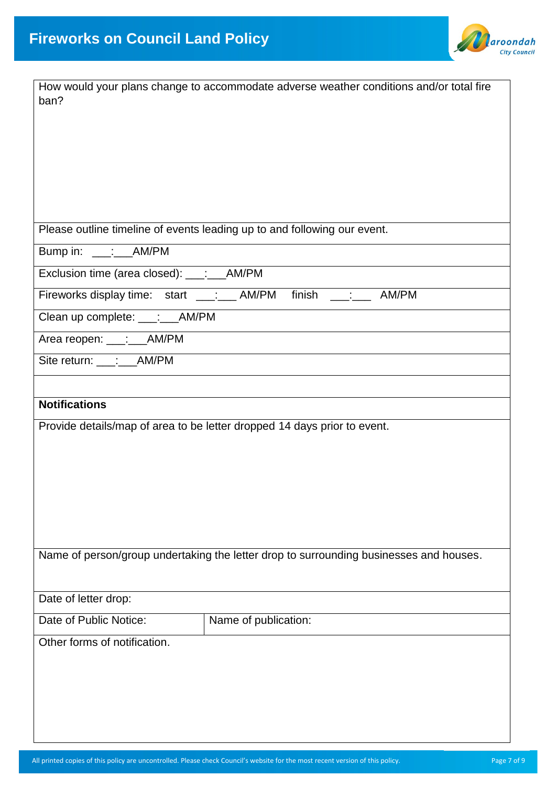

| How would your plans change to accommodate adverse weather conditions and/or total fire |  |  |
|-----------------------------------------------------------------------------------------|--|--|
| ban?                                                                                    |  |  |
|                                                                                         |  |  |
|                                                                                         |  |  |
|                                                                                         |  |  |
|                                                                                         |  |  |
|                                                                                         |  |  |
| Please outline timeline of events leading up to and following our event.                |  |  |
| Bump in: ____: ___ AM/PM                                                                |  |  |
| Exclusion time (area closed): ___: ___ AM/PM                                            |  |  |
| finish ___: ____ AM/PM<br>Fireworks display time: start ___:__ AM/PM                    |  |  |
| Clean up complete: ___: __AM/PM                                                         |  |  |
| Area reopen: ___:___AM/PM                                                               |  |  |
| Site return: ___:___AM/PM                                                               |  |  |
|                                                                                         |  |  |
| <b>Notifications</b>                                                                    |  |  |
| Provide details/map of area to be letter dropped 14 days prior to event.                |  |  |
|                                                                                         |  |  |
|                                                                                         |  |  |
|                                                                                         |  |  |
|                                                                                         |  |  |
|                                                                                         |  |  |
|                                                                                         |  |  |
| Name of person/group undertaking the letter drop to surrounding businesses and houses.  |  |  |
|                                                                                         |  |  |
| Date of letter drop:                                                                    |  |  |
| Date of Public Notice:<br>Name of publication:                                          |  |  |
| Other forms of notification.                                                            |  |  |
|                                                                                         |  |  |
|                                                                                         |  |  |
|                                                                                         |  |  |
|                                                                                         |  |  |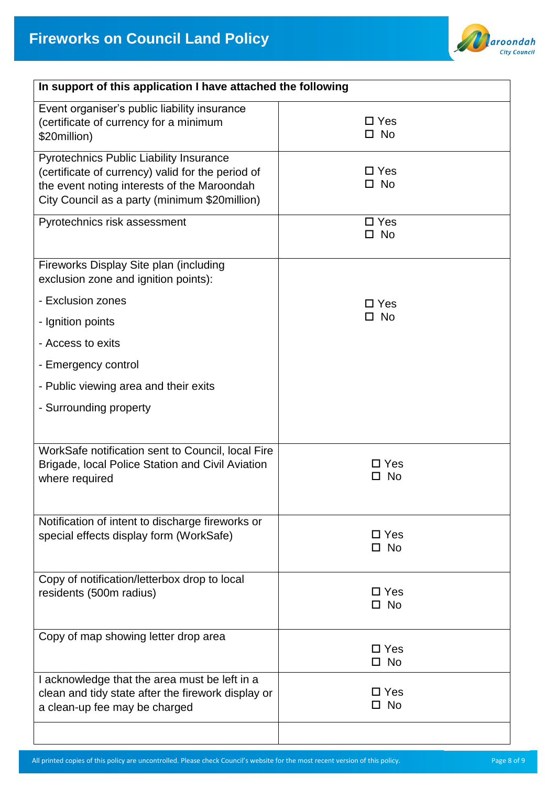

| In support of this application I have attached the following                                                                                                                                        |                               |  |  |  |
|-----------------------------------------------------------------------------------------------------------------------------------------------------------------------------------------------------|-------------------------------|--|--|--|
| Event organiser's public liability insurance<br>(certificate of currency for a minimum<br>\$20million)                                                                                              | $\square$ Yes<br>$\square$ No |  |  |  |
| <b>Pyrotechnics Public Liability Insurance</b><br>(certificate of currency) valid for the period of<br>the event noting interests of the Maroondah<br>City Council as a party (minimum \$20million) | $\square$ Yes<br>$\square$ No |  |  |  |
| Pyrotechnics risk assessment                                                                                                                                                                        | $\square$ Yes<br>$\square$ No |  |  |  |
| Fireworks Display Site plan (including<br>exclusion zone and ignition points):                                                                                                                      |                               |  |  |  |
| - Exclusion zones                                                                                                                                                                                   | $\Box$ Yes<br>$\square$ No    |  |  |  |
| - Ignition points<br>- Access to exits                                                                                                                                                              |                               |  |  |  |
| - Emergency control                                                                                                                                                                                 |                               |  |  |  |
| - Public viewing area and their exits                                                                                                                                                               |                               |  |  |  |
| - Surrounding property                                                                                                                                                                              |                               |  |  |  |
|                                                                                                                                                                                                     |                               |  |  |  |
| WorkSafe notification sent to Council, local Fire<br>Brigade, local Police Station and Civil Aviation<br>where required                                                                             | □ Yes<br>No<br>ΙI             |  |  |  |
| Notification of intent to discharge fireworks or<br>special effects display form (WorkSafe)                                                                                                         | $\square$ Yes<br>$\square$ No |  |  |  |
| Copy of notification/letterbox drop to local<br>residents (500m radius)                                                                                                                             | $\square$ Yes<br>$\square$ No |  |  |  |
| Copy of map showing letter drop area                                                                                                                                                                | $\Box$ Yes<br>$\square$ No    |  |  |  |
| I acknowledge that the area must be left in a<br>clean and tidy state after the firework display or<br>a clean-up fee may be charged                                                                | $\Box$ Yes<br>$\square$ No    |  |  |  |
|                                                                                                                                                                                                     |                               |  |  |  |